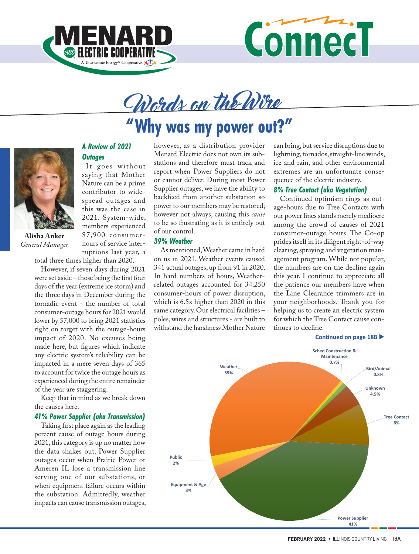

*A Review of 2021* 

It goes without saying that Mother Nature can be a prime contributor to widespread outages and this was the case in 2021. System-wide, members experienced 87,900 consumerhours of service inter-

*Outages*



# Words on the Wire

## **"Why was my power out?"**



**Alisha Anker** *General Manager*

ruptions last year, a total three times higher than 2020.

However, if seven days during 2021 were set aside – those being the first four days of the year (extreme ice storm) and the three days in December during the tornadic event - the number of total consumer-outage hours for 2021 would lower by 57,000 to bring 2021 statistics right on target with the outage-hours impact of 2020. No excuses being made here, but figures which indicate any electric system's reliability can be impacted in a mere seven days of 365 to account for twice the outage hours as experienced during the entire remainder of the year are staggering.

Keep that in mind as we break down the causes here.

#### *41% Power Supplier (aka Transmission)*

Taking first place again as the leading percent cause of outage hours during 2021, this category is up no matter how the data shakes out. Power Supplier outages occur when Prairie Power or Ameren IL lose a transmission line serving one of our substations, or when equipment failure occurs within the substation. Admittedly, weather impacts can cause transmission outages,

however, as a distribution provider Menard Electric does not own its substations and therefore must track and report when Power Suppliers do not or cannot deliver. During most Power Supplier outages, we have the ability to backfeed from another substation so power to our members may be restored; however not always, causing this *cause* to be so frustrating as it is entirely out of our control.

#### *39% Weather*

As mentioned, Weather came in hard on us in 2021. Weather events caused 341 actual outages, up from 91 in 2020. In hard numbers of hours, Weatherrelated outages accounted for 34,250 consumer-hours of power disruption, which is 6.5x higher than 2020 in this same category. Our electrical facilities – poles, wires and structures - are built to withstand the harshness Mother Nature can bring, but service disruptions due to lightning, tornados, straight-line winds, ice and rain, and other environmental extremes are an unfortunate consequence of the electric industry.

#### *8% Tree Contact (aka Vegetation)*

Continued optimism rings as outage-hours due to Tree Contacts with our power lines stands merely mediocre among the crowd of causes of 2021 consumer-outage hours. The Co-op prides itself in its diligent right-of-way clearing, spraying and vegetation management program. While not popular, the numbers are on the decline again this year. I continue to appreciate all the patience our members have when the Line Clearance trimmers are in your neighborhoods. Thank you for helping us to create an electric system for which the Tree Contact cause continues to decline.



#### **Continued on page 18B**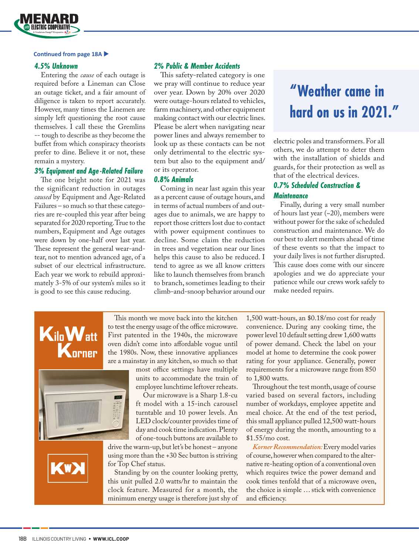

#### **Continued from page 18A**

#### *4.5% Unknown*

Entering the *cause* of each outage is required before a Lineman can Close an outage ticket, and a fair amount of diligence is taken to report accurately. However, many times the Linemen are simply left questioning the root cause themselves. I call these the Gremlins -- tough to describe as they become the buffet from which conspiracy theorists prefer to dine. Believe it or not, these remain a mystery.

#### *3% Equipment and Age-Related Failure*

The one bright note for 2021 was the significant reduction in outages *caused* by Equipment and Age-Related Failures – so much so that these categories are re-coupled this year after being separated for 2020 reporting. True to the numbers, Equipment and Age outages were down by one-half over last year. These represent the general wear-andtear, not to mention advanced age, of a subset of our electrical infrastructure. Each year we work to rebuild approximately 3-5% of our system's miles so it is good to see this cause reducing.

#### *2% Public & Member Accidents*

This safety-related category is one we pray will continue to reduce year over year. Down by 20% over 2020 were outage-hours related to vehicles, farm machinery, and other equipment making contact with our electric lines. Please be alert when navigating near power lines and always remember to look up as these contacts can be not only detrimental to the electric system but also to the equipment and/ or its operator.

#### *0.8% Animals*

Coming in near last again this year as a percent cause of outage hours, and in terms of actual numbers of and outages due to animals, we are happy to report those critters lost due to contact with power equipment continues to decline. Some claim the reduction in trees and vegetation near our lines helps this cause to also be reduced. I tend to agree as we all know critters like to launch themselves from branch to branch, sometimes leading to their climb-and-snoop behavior around our

### **"Weather came in hard on us in 2021."**

electric poles and transformers. For all others, we do attempt to deter them with the installation of shields and guards, for their protection as well as that of the electrical devices.

#### *0.7% Scheduled Construction & Maintenance*

Finally, during a very small number of hours last year (~20), members were without power for the sake of scheduled construction and maintenance. We do our best to alert members ahead of time of these events so that the impact to your daily lives is not further disrupted. This cause does come with our sincere apologies and we do appreciate your patience while our crews work safely to make needed repairs.





This month we move back into the kitchen to test the energy usage of the office microwave. First patented in the 1940s, the microwave oven didn't come into affordable vogue until the 1980s. Now, these innovative appliances are a mainstay in any kitchen, so much so that

> most office settings have multiple units to accommodate the train of employee lunchtime leftover reheats.

> Our microwave is a Sharp 1.8-cu ft model with a 15-inch carousel turntable and 10 power levels. An LED clock/counter provides time of day and cook time indication. Plenty of one-touch buttons are available to

drive the warm-up, but let's be honest – anyone using more than the +30 Sec button is striving for Top Chef status.

Standing by on the counter looking pretty, this unit pulled 2.0 watts/hr to maintain the clock feature. Measured for a month, the minimum energy usage is therefore just shy of 1,500 watt-hours, an \$0.18/mo cost for ready convenience. During any cooking time, the power level 10 default setting drew 1,600 watts of power demand. Check the label on your model at home to determine the cook power rating for your appliance. Generally, power requirements for a microwave range from 850 to 1,800 watts.

Throughout the test month, usage of course varied based on several factors, including number of workdays, employee appetite and meal choice. At the end of the test period, this small appliance pulled 12,500 watt-hours of energy during the month, amounting to a \$1.55/mo cost.

*Korner Recommendation:* Every model varies of course, however when compared to the alternative re-heating option of a conventional oven which requires twice the power demand and cook times tenfold that of a microwave oven, the choice is simple … stick with convenience and efficiency.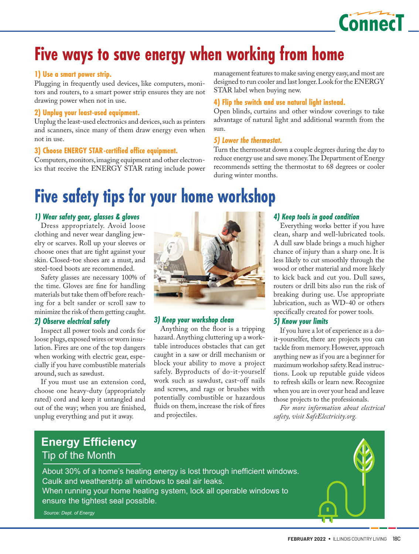

### **Five ways to save energy when working from home**

#### **1) Use a smart power strip.**

Plugging in frequently used devices, like computers, monitors and routers, to a smart power strip ensures they are not drawing power when not in use.

#### **2) Unplug your least-used equipment.**

Unplug the least-used electronics and devices, such as printers and scanners, since many of them draw energy even when not in use.

#### **3) Choose ENERGY STAR-certified office equipment.**

Computers, monitors, imaging equipment and other electronics that receive the ENERGY STAR rating include power

### **Five safety tips for your home workshop**

#### *1) Wear safety gear, glasses & gloves*

Dress appropriately. Avoid loose clothing and never wear dangling jewelry or scarves. Roll up your sleeves or choose ones that are tight against your skin. Closed-toe shoes are a must, and steel-toed boots are recommended.

Safety glasses are necessary 100% of the time. Gloves are fine for handling materials but take them off before reaching for a belt sander or scroll saw to minimize the risk of them getting caught.

#### *2) Observe electrical safety*

Inspect all power tools and cords for loose plugs, exposed wires or worn insulation. Fires are one of the top dangers when working with electric gear, especially if you have combustible materials around, such as sawdust.

If you must use an extension cord, choose one heavy-duty (appropriately rated) cord and keep it untangled and out of the way; when you are finished, unplug everything and put it away.



#### *3) Keep your workshop clean*

Anything on the floor is a tripping hazard. Anything cluttering up a worktable introduces obstacles that can get caught in a saw or drill mechanism or block your ability to move a project safely. Byproducts of do-it-yourself work such as sawdust, cast-off nails and screws, and rags or brushes with potentially combustible or hazardous fluids on them, increase the risk of fires and projectiles.

management features to make saving energy easy, and most are designed to run cooler and last longer. Look for the ENERGY STAR label when buying new.

#### **4) Flip the switch and use natural light instead.**

Open blinds, curtains and other window coverings to take advantage of natural light and additional warmth from the sun.

#### *5) Lower the thermostat.*

Turn the thermostat down a couple degrees during the day to reduce energy use and save money. The Department of Energy recommends setting the thermostat to 68 degrees or cooler during winter months.

#### *4) Keep tools in good condition*

Everything works better if you have clean, sharp and well-lubricated tools. A dull saw blade brings a much higher chance of injury than a sharp one. It is less likely to cut smoothly through the wood or other material and more likely to kick back and cut you. Dull saws, routers or drill bits also run the risk of breaking during use. Use appropriate lubrication, such as WD-40 or others specifically created for power tools.

#### *5) Know your limits*

If you have a lot of experience as a doit-yourselfer, there are projects you can tackle from memory. However, approach anything new as if you are a beginner for maximum workshop safety. Read instructions. Look up reputable guide videos to refresh skills or learn new. Recognize when you are in over your head and leave those projects to the professionals.

*For more information about electrical safety, visit SafeElectricity.org.*

### **Energy Efficiency** Tip of the Month

About 30% of a home's heating energy is lost through inefficient windows. Caulk and weatherstrip all windows to seal air leaks. When running your home heating system, lock all operable windows to

ensure the tightest seal possible.

*Source: Dept. of Energy*

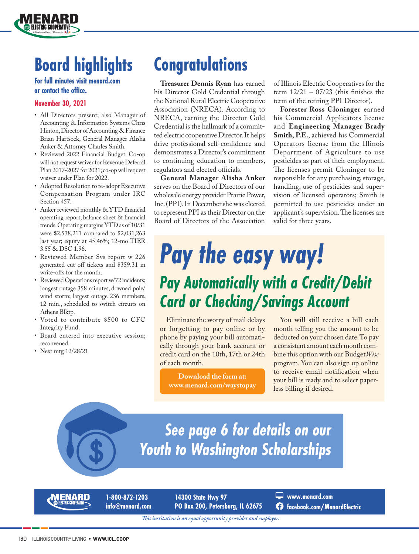## **Board highlights**

#### **For full minutes visit menard.com or contact the office.**

#### **November 30, 2021**

**ELECTRIC COOPERATIVE** 

- All Directors present; also Manager of Accounting & Information Systems Chris Hinton, Director of Accounting & Finance Brian Hartsock, General Manager Alisha Anker & Attorney Charles Smith.
- Reviewed 2022 Financial Budget. Co-op will not request waiver for Revenue Deferral Plan 2017-2027 for 2021; co-op will request waiver under Plan for 2022.
- Adopted Resolution to re-adopt Executive Compensation Program under IRC Section 457.
- Anker reviewed monthly & YTD financial operating report, balance sheet & financial trends. Operating margins YTD as of 10/31 were \$2,538,211 compared to \$2,031,263 last year; equity at 45.46%; 12-mo TIER 3.55 & DSC 1.96.
- Reviewed Member Svs report w 226 generated cut-off tickets and \$359.31 in write-offs for the month.
- Reviewed Operations report w/72 incidents; longest outage 358 minutes, downed pole/ wind storm; largest outage 236 members, 12 min., scheduled to switch circuits on Athens Blktp.
- Voted to contribute \$500 to CFC Integrity Fund.
- Board entered into executive session; reconvened.
- Next mtg 12/28/21

### **Congratulations**

**Treasurer Dennis Ryan** has earned his Director Gold Credential through the National Rural Electric Cooperative Association (NRECA). According to NRECA, earning the Director Gold Credential is the hallmark of a committed electric cooperative Director. It helps drive professional self-confidence and demonstrates a Director's commitment to continuing education to members, regulators and elected officials.

**General Manager Alisha Anker** serves on the Board of Directors of our wholesale energy provider Prairie Power, Inc. (PPI). In December she was elected to represent PPI as their Director on the Board of Directors of the Association

of Illinois Electric Cooperatives for the term  $12/21 - 07/23$  (this finishes the term of the retiring PPI Director).

**Forester Ross Cloninger** earned his Commercial Applicators license and **Engineering Manager Brady Smith, P.E.**, achieved his Commercial Operators license from the Illinois Department of Agriculture to use pesticides as part of their employment. The licenses permit Cloninger to be responsible for any purchasing, storage, handling, use of pesticides and supervision of licensed operators; Smith is permitted to use pesticides under an applicant's supervision. The licenses are valid for three years.

# *Pay the easy way! Pay Automatically with a Credit/Debit Card or Checking/Savings Account*

Eliminate the worry of mail delays or forgetting to pay online or by phone by paying your bill automatically through your bank account or credit card on the 10th, 17th or 24th of each month.

**Download the form at: www.menard.com/waystopay** 

You will still receive a bill each month telling you the amount to be deducted on your chosen date. To pay a consistent amount each month combine this option with our Budget*Wise*  program. You can also sign up online to receive email notification when your bill is ready and to select paperless billing if desired.

*See page 6 for details on our Youth to Washington Scholarships*

**1-800-872-1203 info@menard.com** **14300 State Hwy 97 PO Box 200, Petersburg, IL 62675** **www.menard.com facebook.com/MenardElectric**

*This institution is an equal opportunity provider and employer.*